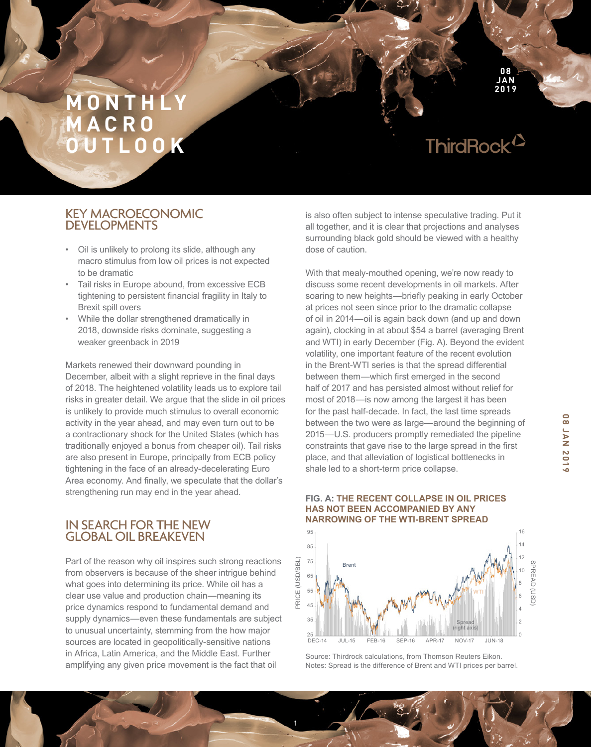ThirdRock<sup>12</sup>

**08 JAN 2019**

### KEY MACROECONOMIC DEVELOPMENTS

- Oil is unlikely to prolong its slide, although any macro stimulus from low oil prices is not expected to be dramatic
- Tail risks in Europe abound, from excessive ECB tightening to persistent financial fragility in Italy to Brexit spill overs
- While the dollar strengthened dramatically in 2018, downside risks dominate, suggesting a weaker greenback in 2019

Markets renewed their downward pounding in December, albeit with a slight reprieve in the fnal days of 2018. The heightened volatility leads us to explore tail risks in greater detail. We argue that the slide in oil prices is unlikely to provide much stimulus to overall economic activity in the year ahead, and may even turn out to be a contractionary shock for the United States (which has traditionally enjoyed a bonus from cheaper oil). Tail risks are also present in Europe, principally from ECB policy tightening in the face of an already-decelerating Euro Area economy. And finally, we speculate that the dollar's strengthening run may end in the year ahead.

### IN SEARCH FOR THE NEW GLOBAL OIL BREAKEVEN

Part of the reason why oil inspires such strong reactions from observers is because of the sheer intrigue behind what goes into determining its price. While oil has a clear use value and production chain—meaning its price dynamics respond to fundamental demand and supply dynamics—even these fundamentals are subject to unusual uncertainty, stemming from the how major sources are located in geopolitically-sensitive nations in Africa, Latin America, and the Middle East. Further amplifying any given price movement is the fact that oil

is also often subject to intense speculative trading. Put it all together, and it is clear that projections and analyses surrounding black gold should be viewed with a healthy dose of caution.

With that mealy-mouthed opening, we're now ready to discuss some recent developments in oil markets. After soaring to new heights—briefy peaking in early October at prices not seen since prior to the dramatic collapse of oil in 2014—oil is again back down (and up and down again), clocking in at about \$54 a barrel (averaging Brent and WTI) in early December (Fig. A). Beyond the evident volatility, one important feature of the recent evolution in the Brent-WTI series is that the spread differential between them—which frst emerged in the second half of 2017 and has persisted almost without relief for most of 2018—is now among the largest it has been for the past half-decade. In fact, the last time spreads between the two were as large—around the beginning of 2015—U.S. producers promptly remediated the pipeline constraints that gave rise to the large spread in the first place, and that alleviation of logistical bottlenecks in shale led to a short-term price collapse.

#### **NARROWING OF THE WTI-BRENT SPREAD** 95 16 14 85 12 PRICE (USD/BBL) PRICE (USD/BBL) 75 SPREAD (USD Brent SPREAD (USD) 10 65 8 55 **WTI** 6 45 4 35 Spread 2 (right axis)  $\mathsf{C}$  $DEC-14$ DEC-14 JUL-15 FEB-16 SEP-16 APR-17 NOV-17 JUN-18

**FIG. A: THE RECENT COLLAPSE IN OIL PRICES** 

**HAS NOT BEEN ACCOMPANIED BY ANY** 

Source: Thirdrock calculations, from Thomson Reuters Eikon. Notes: Spread is the difference of Brent and WTI prices per barrel. **08 JAN 2019**

**SLOZ NVY 80** 

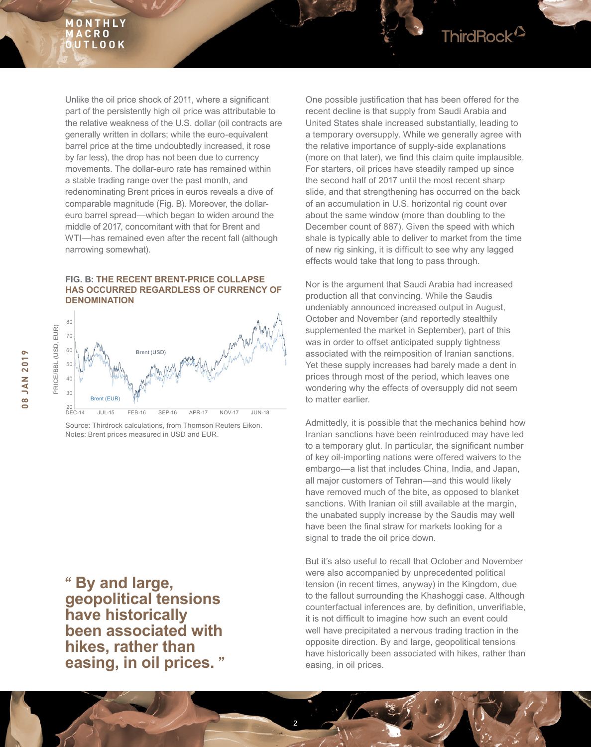

#### **FIG. B: THE RECENT BRENT-PRICE COLLAPSE HAS OCCURRED REGARDLESS OF CURRENCY OF DENOMINATION**



Source: Thirdrock calculations, from Thomson Reuters Eikon. Notes: Brent prices measured in USD and EUR.

**" By and large, geopolitical tensions have historically been associated with hikes, rather than easing, in oil prices. "** One possible justification that has been offered for the recent decline is that supply from Saudi Arabia and United States shale increased substantially, leading to a temporary oversupply. While we generally agree with the relative importance of supply-side explanations (more on that later), we fnd this claim quite implausible. For starters, oil prices have steadily ramped up since the second half of 2017 until the most recent sharp slide, and that strengthening has occurred on the back of an accumulation in U.S. horizontal rig count over about the same window (more than doubling to the December count of 887). Given the speed with which shale is typically able to deliver to market from the time of new rig sinking, it is difficult to see why any lagged effects would take that long to pass through.

ThirdRock<sup>2</sup>

Nor is the argument that Saudi Arabia had increased production all that convincing. While the Saudis undeniably announced increased output in August, October and November (and reportedly stealthily supplemented the market in September), part of this was in order to offset anticipated supply tightness associated with the reimposition of Iranian sanctions. Yet these supply increases had barely made a dent in prices through most of the period, which leaves one wondering why the effects of oversupply did not seem to matter earlier.

Admittedly, it is possible that the mechanics behind how Iranian sanctions have been reintroduced may have led to a temporary glut. In particular, the signifcant number of key oil-importing nations were offered waivers to the embargo—a list that includes China, India, and Japan, all major customers of Tehran—and this would likely have removed much of the bite, as opposed to blanket sanctions. With Iranian oil still available at the margin, the unabated supply increase by the Saudis may well have been the final straw for markets looking for a signal to trade the oil price down.

But it's also useful to recall that October and November were also accompanied by unprecedented political tension (in recent times, anyway) in the Kingdom, due to the fallout surrounding the Khashoggi case. Although counterfactual inferences are, by definition, unverifiable, it is not diffcult to imagine how such an event could well have precipitated a nervous trading traction in the opposite direction. By and large, geopolitical tensions have historically been associated with hikes, rather than easing, in oil prices.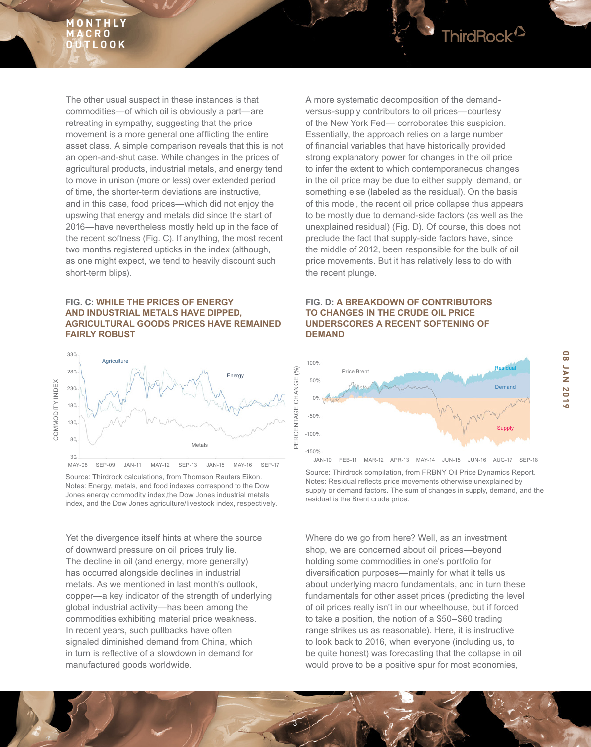

### **FIG. C: WHILE THE PRICES OF ENERGY AND INDUSTRIAL METALS HAVE DIPPED, AGRICULTURAL GOODS PRICES HAVE REMAINED FAIRLY ROBUST**



Source: Thirdrock calculations, from Thomson Reuters Eikon. Notes: Energy, metals, and food indexes correspond to the Dow Jones energy commodity index,the Dow Jones industrial metals index, and the Dow Jones agriculture/livestock index, respectively.

Yet the divergence itself hints at where the source of downward pressure on oil prices truly lie. The decline in oil (and energy, more generally) has occurred alongside declines in industrial metals. As we mentioned in last month's outlook, copper—a key indicator of the strength of underlying global industrial activity—has been among the commodities exhibiting material price weakness. In recent years, such pullbacks have often signaled diminished demand from China, which in turn is refective of a slowdown in demand for manufactured goods worldwide.

A more systematic decomposition of the demandversus-supply contributors to oil prices—courtesy of the New York Fed— corroborates this suspicion. Essentially, the approach relies on a large number of fnancial variables that have historically provided strong explanatory power for changes in the oil price to infer the extent to which contemporaneous changes in the oil price may be due to either supply, demand, or something else (labeled as the residual). On the basis of this model, the recent oil price collapse thus appears to be mostly due to demand-side factors (as well as the unexplained residual) (Fig. D). Of course, this does not preclude the fact that supply-side factors have, since the middle of 2012, been responsible for the bulk of oil price movements. But it has relatively less to do with the recent plunge.

ThirdRock<sup>12</sup>

### **FIG. D: A BREAKDOWN OF CONTRIBUTORS TO CHANGES IN THE CRUDE OIL PRICE UNDERSCORES A RECENT SOFTENING OF DEMAND**



Source: Thirdrock compilation, from FRBNY Oil Price Dynamics Report. Notes: Residual refects price movements otherwise unexplained by supply or demand factors. The sum of changes in supply, demand, and the residual is the Brent crude price.

Where do we go from here? Well, as an investment shop, we are concerned about oil prices—beyond holding some commodities in one's portfolio for diversifcation purposes—mainly for what it tells us about underlying macro fundamentals, and in turn these fundamentals for other asset prices (predicting the level of oil prices really isn't in our wheelhouse, but if forced to take a position, the notion of a \$50–\$60 trading range strikes us as reasonable). Here, it is instructive to look back to 2016, when everyone (including us, to be quite honest) was forecasting that the collapse in oil would prove to be a positive spur for most economies,

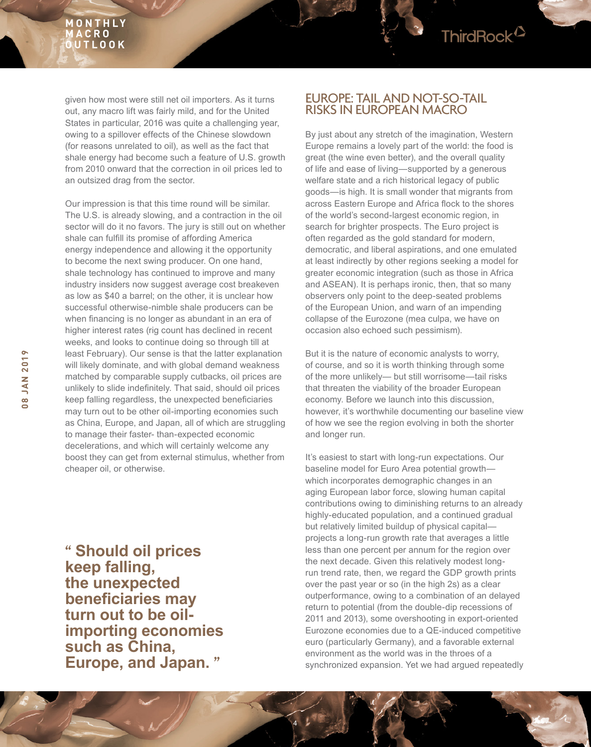given how most were still net oil importers. As it turns out, any macro lift was fairly mild, and for the United States in particular, 2016 was quite a challenging year, owing to a spillover effects of the Chinese slowdown (for reasons unrelated to oil), as well as the fact that shale energy had become such a feature of U.S. growth from 2010 onward that the correction in oil prices led to an outsized drag from the sector.

Our impression is that this time round will be similar. The U.S. is already slowing, and a contraction in the oil sector will do it no favors. The jury is still out on whether shale can fulfill its promise of affording America energy independence and allowing it the opportunity to become the next swing producer. On one hand, shale technology has continued to improve and many industry insiders now suggest average cost breakeven as low as \$40 a barrel; on the other, it is unclear how successful otherwise-nimble shale producers can be when fnancing is no longer as abundant in an era of higher interest rates (rig count has declined in recent weeks, and looks to continue doing so through till at least February). Our sense is that the latter explanation will likely dominate, and with global demand weakness matched by comparable supply cutbacks, oil prices are unlikely to slide indefnitely. That said, should oil prices keep falling regardless, the unexpected beneficiaries may turn out to be other oil-importing economies such as China, Europe, and Japan, all of which are struggling to manage their faster- than-expected economic decelerations, and which will certainly welcome any boost they can get from external stimulus, whether from cheaper oil, or otherwise.

**" Should oil prices keep falling, the unexpected beneficiaries may turn out to be oilimporting economies such as China, Europe, and Japan. "**

### EUROPE: TAIL AND NOT-SO-TAIL RISKS IN EUROPEAN MACRO

ThirdRock<sup>12</sup>

By just about any stretch of the imagination, Western Europe remains a lovely part of the world: the food is great (the wine even better), and the overall quality of life and ease of living—supported by a generous welfare state and a rich historical legacy of public goods—is high. It is small wonder that migrants from across Eastern Europe and Africa flock to the shores of the world's second-largest economic region, in search for brighter prospects. The Euro project is often regarded as the gold standard for modern, democratic, and liberal aspirations, and one emulated at least indirectly by other regions seeking a model for greater economic integration (such as those in Africa and ASEAN). It is perhaps ironic, then, that so many observers only point to the deep-seated problems of the European Union, and warn of an impending collapse of the Eurozone (mea culpa, we have on occasion also echoed such pessimism).

But it is the nature of economic analysts to worry, of course, and so it is worth thinking through some of the more unlikely— but still worrisome—tail risks that threaten the viability of the broader European economy. Before we launch into this discussion, however, it's worthwhile documenting our baseline view of how we see the region evolving in both the shorter and longer run.

It's easiest to start with long-run expectations. Our baseline model for Euro Area potential growth which incorporates demographic changes in an aging European labor force, slowing human capital contributions owing to diminishing returns to an already highly-educated population, and a continued gradual but relatively limited buildup of physical capital projects a long-run growth rate that averages a little less than one percent per annum for the region over the next decade. Given this relatively modest longrun trend rate, then, we regard the GDP growth prints over the past year or so (in the high 2s) as a clear outperformance, owing to a combination of an delayed return to potential (from the double-dip recessions of 2011 and 2013), some overshooting in export-oriented Eurozone economies due to a QE-induced competitive euro (particularly Germany), and a favorable external environment as the world was in the throes of a synchronized expansion. Yet we had argued repeatedly

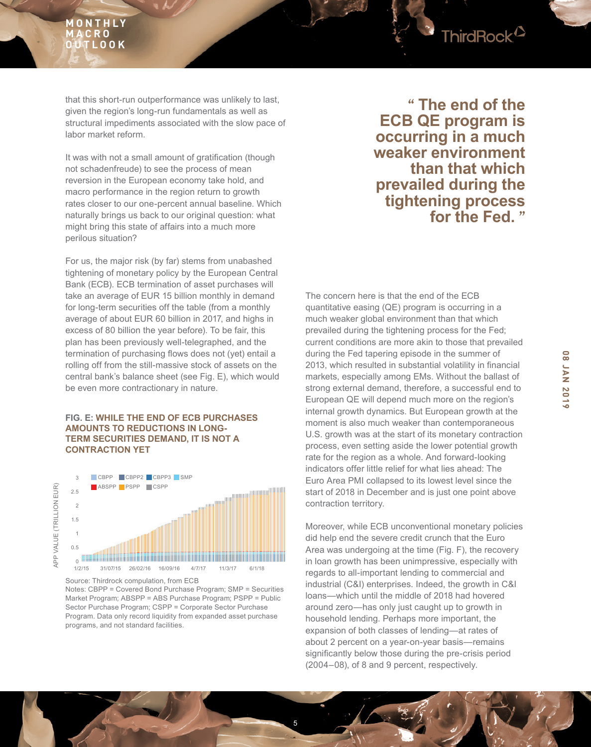that this short-run outperformance was unlikely to last, given the region's long-run fundamentals as well as structural impediments associated with the slow pace of labor market reform.

It was with not a small amount of gratification (though not schadenfreude) to see the process of mean reversion in the European economy take hold, and macro performance in the region return to growth rates closer to our one-percent annual baseline. Which naturally brings us back to our original question: what might bring this state of affairs into a much more perilous situation?

For us, the major risk (by far) stems from unabashed tightening of monetary policy by the European Central Bank (ECB). ECB termination of asset purchases will take an average of EUR 15 billion monthly in demand for long-term securities off the table (from a monthly average of about EUR 60 billion in 2017, and highs in excess of 80 billion the year before). To be fair, this plan has been previously well-telegraphed, and the termination of purchasing flows does not (yet) entail a rolling off from the still-massive stock of assets on the central bank's balance sheet (see Fig. E), which would be even more contractionary in nature.

#### **FIG. E: WHILE THE END OF ECB PURCHASES AMOUNTS TO REDUCTIONS IN LONG-TERM SECURITIES DEMAND, IT IS NOT A CONTRACTION YET**



Notes: CBPP = Covered Bond Purchase Program; SMP = Securities Market Program; ABSPP = ABS Purchase Program; PSPP = Public Sector Purchase Program; CSPP = Corporate Sector Purchase Program. Data only record liquidity from expanded asset purchase programs, and not standard facilities.

**" The end of the ECB QE program is occurring in a much weaker environment than that which prevailed during the tightening process for the Fed. "**

ThirdRock<sup>12</sup>

The concern here is that the end of the ECB quantitative easing (QE) program is occurring in a much weaker global environment than that which prevailed during the tightening process for the Fed; current conditions are more akin to those that prevailed during the Fed tapering episode in the summer of 2013, which resulted in substantial volatility in fnancial markets, especially among EMs. Without the ballast of strong external demand, therefore, a successful end to European QE will depend much more on the region's internal growth dynamics. But European growth at the moment is also much weaker than contemporaneous U.S. growth was at the start of its monetary contraction process, even setting aside the lower potential growth rate for the region as a whole. And forward-looking indicators offer little relief for what lies ahead: The Euro Area PMI collapsed to its lowest level since the start of 2018 in December and is just one point above contraction territory.

Moreover, while ECB unconventional monetary policies did help end the severe credit crunch that the Euro Area was undergoing at the time (Fig. F), the recovery in loan growth has been unimpressive, especially with regards to all-important lending to commercial and industrial (C&I) enterprises. Indeed, the growth in C&I loans—which until the middle of 2018 had hovered around zero—has only just caught up to growth in household lending. Perhaps more important, the expansion of both classes of lending—at rates of about 2 percent on a year-on-year basis—remains signifcantly below those during the pre-crisis period (2004–08), of 8 and 9 percent, respectively.

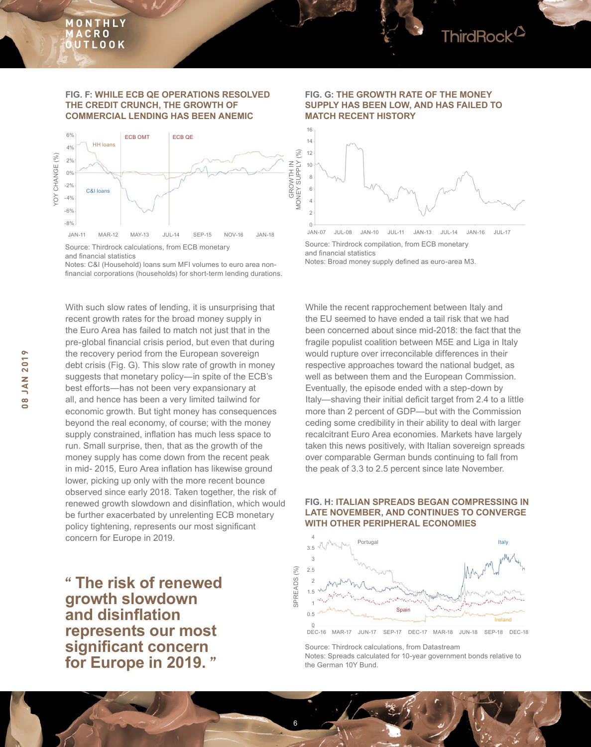#### **FIG. F: WHILE ECB QE OPERATIONS RESOLVED THE CREDIT CRUNCH, THE GROWTH OF COMMERCIAL LENDING HAS BEEN ANEMIC**



Notes: C&I (Household) loans sum MFI volumes to euro area nonfnancial corporations (households) for short-term lending durations.

With such slow rates of lending, it is unsurprising that recent growth rates for the broad money supply in the Euro Area has failed to match not just that in the pre-global financial crisis period, but even that during the recovery period from the European sovereign debt crisis (Fig. G). This slow rate of growth in money suggests that monetary policy—in spite of the ECB's best efforts—has not been very expansionary at all, and hence has been a very limited tailwind for economic growth. But tight money has consequences beyond the real economy, of course; with the money supply constrained, inflation has much less space to run. Small surprise, then, that as the growth of the money supply has come down from the recent peak in mid- 2015, Euro Area infation has likewise ground lower, picking up only with the more recent bounce observed since early 2018. Taken together, the risk of renewed growth slowdown and disinfation, which would be further exacerbated by unrelenting ECB monetary policy tightening, represents our most signifcant concern for Europe in 2019.

**" The risk of renewed growth slowdown and disinflation represents our most significant concern for Europe in 2019. "**

#### **FIG. G: THE GROWTH RATE OF THE MONEY SUPPLY HAS BEEN LOW, AND HAS FAILED TO MATCH RECENT HISTORY**



Source: Thirdrock compilation, from ECB monetary and fnancial statistics Notes: Broad money supply defned as euro-area M3.

While the recent rapprochement between Italy and the EU seemed to have ended a tail risk that we had been concerned about since mid-2018: the fact that the fragile populist coalition between M5E and Liga in Italy would rupture over irreconcilable differences in their respective approaches toward the national budget, as well as between them and the European Commission. Eventually, the episode ended with a step-down by Italy—shaving their initial deficit target from 2.4 to a little more than 2 percent of GDP—but with the Commission ceding some credibility in their ability to deal with larger recalcitrant Euro Area economies. Markets have largely taken this news positively, with Italian sovereign spreads over comparable German bunds continuing to fall from the peak of 3.3 to 2.5 percent since late November.

#### **FIG. H: ITALIAN SPREADS BEGAN COMPRESSING IN LATE NOVEMBER, AND CONTINUES TO CONVERGE WITH OTHER PERIPHERAL ECONOMIES**



Source: Thirdrock calculations, from Datastream Notes: Spreads calculated for 10-year government bonds relative to the German 10Y Bund.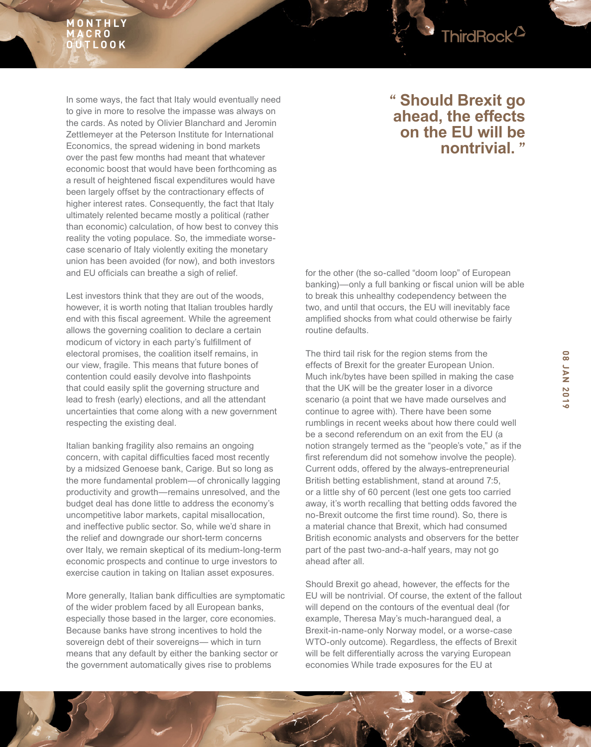

Lest investors think that they are out of the woods, however, it is worth noting that Italian troubles hardly end with this fiscal agreement. While the agreement allows the governing coalition to declare a certain modicum of victory in each party's fulfllment of electoral promises, the coalition itself remains, in our view, fragile. This means that future bones of contention could easily devolve into fashpoints that could easily split the governing structure and lead to fresh (early) elections, and all the attendant uncertainties that come along with a new government respecting the existing deal.

Italian banking fragility also remains an ongoing concern, with capital difficulties faced most recently by a midsized Genoese bank, Carige. But so long as the more fundamental problem—of chronically lagging productivity and growth—remains unresolved, and the budget deal has done little to address the economy's uncompetitive labor markets, capital misallocation, and ineffective public sector. So, while we'd share in the relief and downgrade our short-term concerns over Italy, we remain skeptical of its medium-long-term economic prospects and continue to urge investors to exercise caution in taking on Italian asset exposures.

More generally, Italian bank difficulties are symptomatic of the wider problem faced by all European banks, especially those based in the larger, core economies. Because banks have strong incentives to hold the sovereign debt of their sovereigns— which in turn means that any default by either the banking sector or the government automatically gives rise to problems

## **" Should Brexit go ahead, the effects on the EU will be nontrivial. "**

ThirdRock<sup>12</sup>

for the other (the so-called "doom loop" of European banking)—only a full banking or fiscal union will be able to break this unhealthy codependency between the two, and until that occurs, the EU will inevitably face amplifed shocks from what could otherwise be fairly routine defaults.

The third tail risk for the region stems from the effects of Brexit for the greater European Union. Much ink/bytes have been spilled in making the case that the UK will be the greater loser in a divorce scenario (a point that we have made ourselves and continue to agree with). There have been some rumblings in recent weeks about how there could well be a second referendum on an exit from the EU (a notion strangely termed as the "people's vote," as if the first referendum did not somehow involve the people). Current odds, offered by the always-entrepreneurial British betting establishment, stand at around 7:5, or a little shy of 60 percent (lest one gets too carried away, it's worth recalling that betting odds favored the no-Brexit outcome the frst time round). So, there is a material chance that Brexit, which had consumed British economic analysts and observers for the better part of the past two-and-a-half years, may not go ahead after all.

Should Brexit go ahead, however, the effects for the EU will be nontrivial. Of course, the extent of the fallout will depend on the contours of the eventual deal (for example, Theresa May's much-harangued deal, a Brexit-in-name-only Norway model, or a worse-case WTO-only outcome). Regardless, the effects of Brexit will be felt differentially across the varying European economies While trade exposures for the EU at

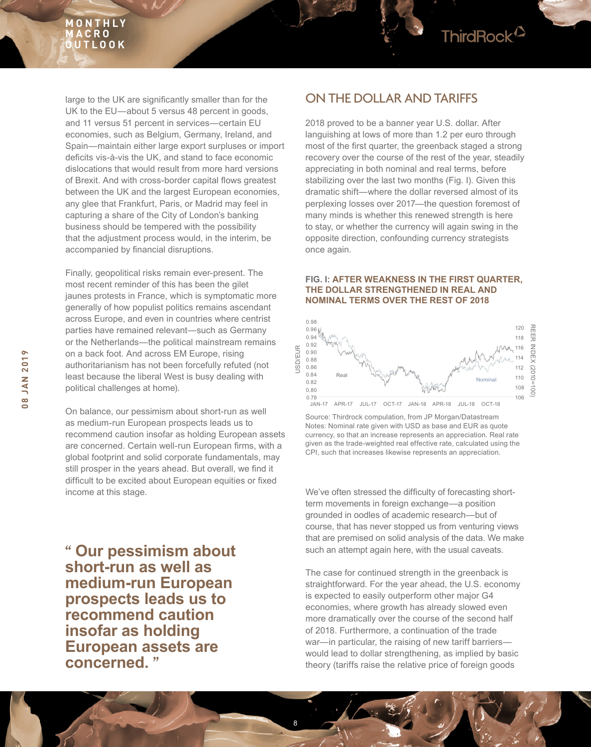

large to the UK are signifcantly smaller than for the UK to the EU—about 5 versus 48 percent in goods, and 11 versus 51 percent in services—certain EU economies, such as Belgium, Germany, Ireland, and Spain—maintain either large export surpluses or import deficits vis-à-vis the UK, and stand to face economic dislocations that would result from more hard versions of Brexit. And with cross-border capital flows greatest between the UK and the largest European economies, any glee that Frankfurt, Paris, or Madrid may feel in capturing a share of the City of London's banking business should be tempered with the possibility that the adjustment process would, in the interim, be accompanied by financial disruptions.

Finally, geopolitical risks remain ever-present. The most recent reminder of this has been the gilet jaunes protests in France, which is symptomatic more generally of how populist politics remains ascendant across Europe, and even in countries where centrist parties have remained relevant—such as Germany or the Netherlands—the political mainstream remains on a back foot. And across EM Europe, rising authoritarianism has not been forcefully refuted (not least because the liberal West is busy dealing with political challenges at home).

On balance, our pessimism about short-run as well as medium-run European prospects leads us to recommend caution insofar as holding European assets are concerned. Certain well-run European firms, with a global footprint and solid corporate fundamentals, may still prosper in the years ahead. But overall, we find it difficult to be excited about European equities or fixed income at this stage. We've often stressed the diffculty of forecasting short-

**" Our pessimism about short-run as well as medium-run European prospects leads us to recommend caution insofar as holding European assets are concerned. "**

### ON THE DOLLAR AND TARIFFS

2018 proved to be a banner year U.S. dollar. After languishing at lows of more than 1.2 per euro through most of the frst quarter, the greenback staged a strong recovery over the course of the rest of the year, steadily appreciating in both nominal and real terms, before stabilizing over the last two months (Fig. I). Given this dramatic shift—where the dollar reversed almost of its perplexing losses over 2017—the question foremost of many minds is whether this renewed strength is here to stay, or whether the currency will again swing in the opposite direction, confounding currency strategists once again.

#### **FIG. I: AFTER WEAKNESS IN THE FIRST QUARTER, THE DOLLAR STRENGTHENED IN REAL AND NOMINAL TERMS OVER THE REST OF 2018**



Source: Thirdrock compulation, from JP Morgan/Datastream Notes: Nominal rate given with USD as base and EUR as quote currency, so that an increase represents an appreciation. Real rate given as the trade-weighted real effective rate, calculated using the CPI, such that increases likewise represents an appreciation.

term movements in foreign exchange—a position grounded in oodles of academic research—but of course, that has never stopped us from venturing views that are premised on solid analysis of the data. We make such an attempt again here, with the usual caveats.

The case for continued strength in the greenback is straightforward. For the year ahead, the U.S. economy is expected to easily outperform other major G4 economies, where growth has already slowed even more dramatically over the course of the second half of 2018. Furthermore, a continuation of the trade war—in particular, the raising of new tariff barriers would lead to dollar strengthening, as implied by basic theory (tariffs raise the relative price of foreign goods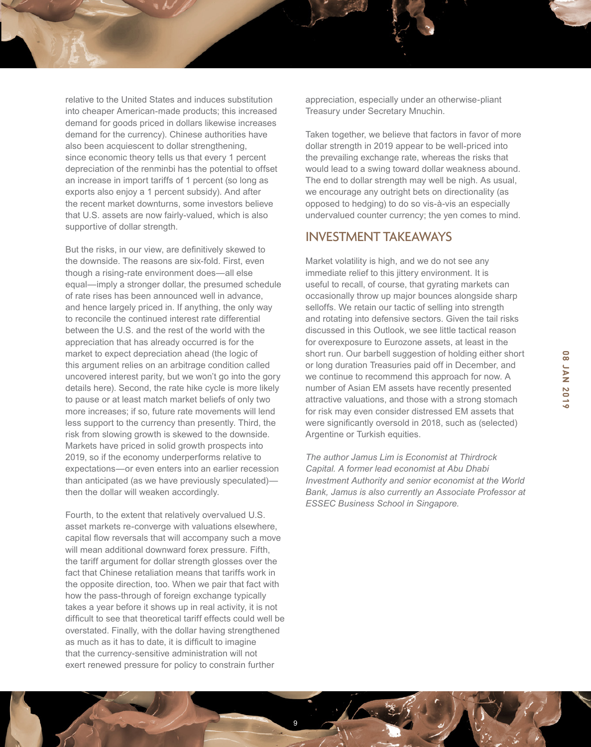relative to the United States and induces substitution into cheaper American-made products; this increased demand for goods priced in dollars likewise increases demand for the currency). Chinese authorities have also been acquiescent to dollar strengthening, since economic theory tells us that every 1 percent depreciation of the renminbi has the potential to offset an increase in import tariffs of 1 percent (so long as exports also enjoy a 1 percent subsidy). And after the recent market downturns, some investors believe that U.S. assets are now fairly-valued, which is also supportive of dollar strength.

But the risks, in our view, are definitively skewed to the downside. The reasons are six-fold. First, even though a rising-rate environment does—all else equal—imply a stronger dollar, the presumed schedule of rate rises has been announced well in advance, and hence largely priced in. If anything, the only way to reconcile the continued interest rate differential between the U.S. and the rest of the world with the appreciation that has already occurred is for the market to expect depreciation ahead (the logic of this argument relies on an arbitrage condition called uncovered interest parity, but we won't go into the gory details here). Second, the rate hike cycle is more likely to pause or at least match market beliefs of only two more increases; if so, future rate movements will lend less support to the currency than presently. Third, the risk from slowing growth is skewed to the downside. Markets have priced in solid growth prospects into 2019, so if the economy underperforms relative to expectations—or even enters into an earlier recession than anticipated (as we have previously speculated) then the dollar will weaken accordingly.

Fourth, to the extent that relatively overvalued U.S. asset markets re-converge with valuations elsewhere, capital flow reversals that will accompany such a move will mean additional downward forex pressure. Fifth, the tariff argument for dollar strength glosses over the fact that Chinese retaliation means that tariffs work in the opposite direction, too. When we pair that fact with how the pass-through of foreign exchange typically takes a year before it shows up in real activity, it is not diffcult to see that theoretical tariff effects could well be overstated. Finally, with the dollar having strengthened as much as it has to date, it is difficult to imagine that the currency-sensitive administration will not exert renewed pressure for policy to constrain further

9

appreciation, especially under an otherwise-pliant Treasury under Secretary Mnuchin.

Taken together, we believe that factors in favor of more dollar strength in 2019 appear to be well-priced into the prevailing exchange rate, whereas the risks that would lead to a swing toward dollar weakness abound. The end to dollar strength may well be nigh. As usual, we encourage any outright bets on directionality (as opposed to hedging) to do so vis-à-vis an especially undervalued counter currency; the yen comes to mind.

### INVESTMENT TAKEAWAYS

Market volatility is high, and we do not see any immediate relief to this jittery environment. It is useful to recall, of course, that gyrating markets can occasionally throw up major bounces alongside sharp selloffs. We retain our tactic of selling into strength and rotating into defensive sectors. Given the tail risks discussed in this Outlook, we see little tactical reason for overexposure to Eurozone assets, at least in the short run. Our barbell suggestion of holding either short or long duration Treasuries paid off in December, and we continue to recommend this approach for now. A number of Asian EM assets have recently presented attractive valuations, and those with a strong stomach for risk may even consider distressed EM assets that were significantly oversold in 2018, such as (selected) Argentine or Turkish equities.

*The author Jamus Lim is Economist at Thirdrock Capital. A former lead economist at Abu Dhabi Investment Authority and senior economist at the World Bank, Jamus is also currently an Associate Professor at ESSEC Business School in Singapore.*